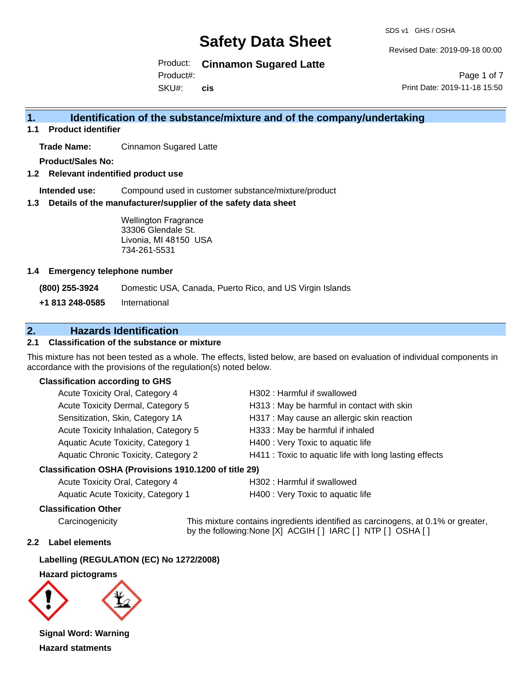SDS v1 GHS / OSHA

Revised Date: 2019-09-18 00:00

Product: **Cinnamon Sugared Latte** Product#:

SKU#: **cis**

Page 1 of 7 Print Date: 2019-11-18 15:50

## **1. Identification of the substance/mixture and of the company/undertaking**

**1.1 Product identifier**

**Trade Name:** Cinnamon Sugared Latte

**Product/Sales No:**

**1.2 Relevant indentified product use**

**Intended use:** Compound used in customer substance/mixture/product

**1.3 Details of the manufacturer/supplier of the safety data sheet**

Wellington Fragrance 33306 Glendale St. Livonia, MI 48150 USA 734-261-5531

#### **1.4 Emergency telephone number**

**(800) 255-3924** Domestic USA, Canada, Puerto Rico, and US Virgin Islands

**+1 813 248-0585** International

# **2. Hazards Identification**

#### **2.1 Classification of the substance or mixture**

This mixture has not been tested as a whole. The effects, listed below, are based on evaluation of individual components in accordance with the provisions of the regulation(s) noted below.

#### **Classification according to GHS**

| Acute Toxicity Oral, Category 4       | H302 : Harmful if swallowed                            |
|---------------------------------------|--------------------------------------------------------|
| Acute Toxicity Dermal, Category 5     | H313: May be harmful in contact with skin              |
| Sensitization, Skin, Category 1A      | H317 : May cause an allergic skin reaction             |
| Acute Toxicity Inhalation, Category 5 | H333: May be harmful if inhaled                        |
| Aquatic Acute Toxicity, Category 1    | H400 : Very Toxic to aquatic life                      |
| Aquatic Chronic Toxicity, Category 2  | H411 : Toxic to aquatic life with long lasting effects |
|                                       |                                                        |

#### **Classification OSHA (Provisions 1910.1200 of title 29)**

| Acute Toxicity Oral, Category 4    |  |
|------------------------------------|--|
| Aquatic Acute Toxicity, Category 1 |  |

H302 : Harmful if swallowed

H400 : Very Toxic to aquatic life

#### **Classification Other**

Carcinogenicity This mixture contains ingredients identified as carcinogens, at 0.1% or greater, by the following:None [X] ACGIH [ ] IARC [ ] NTP [ ] OSHA [ ]

#### **2.2 Label elements**

#### **Labelling (REGULATION (EC) No 1272/2008)**

#### **Hazard pictograms**



**Signal Word: Warning Hazard statments**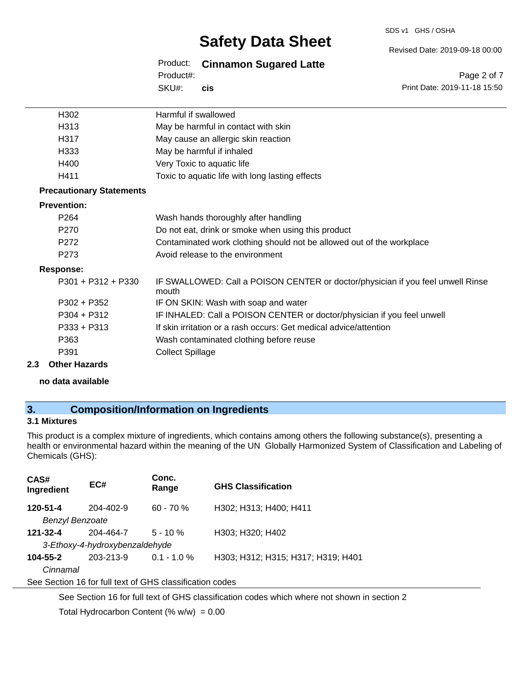#### SDS v1 GHS / OSHA

# **Safety Data Sheet**

Revised Date: 2019-09-18 00:00

Product: **Cinnamon Sugared Latte** SKU#: Product#: **cis**

Page 2 of 7 Print Date: 2019-11-18 15:50

| H302                            | Harmful if swallowed                                                                     |
|---------------------------------|------------------------------------------------------------------------------------------|
| H313                            | May be harmful in contact with skin                                                      |
| H317                            | May cause an allergic skin reaction                                                      |
| H333                            | May be harmful if inhaled                                                                |
| H400                            | Very Toxic to aquatic life                                                               |
| H411                            | Toxic to aquatic life with long lasting effects                                          |
| <b>Precautionary Statements</b> |                                                                                          |
| <b>Prevention:</b>              |                                                                                          |
| P <sub>264</sub>                | Wash hands thoroughly after handling                                                     |
| P <sub>270</sub>                | Do not eat, drink or smoke when using this product                                       |
| P <sub>272</sub>                | Contaminated work clothing should not be allowed out of the workplace                    |
| P273                            | Avoid release to the environment                                                         |
| <b>Response:</b>                |                                                                                          |
| $P301 + P312 + P330$            | IF SWALLOWED: Call a POISON CENTER or doctor/physician if you feel unwell Rinse<br>mouth |
| $P302 + P352$                   | IF ON SKIN: Wash with soap and water                                                     |
| $P304 + P312$                   | IF INHALED: Call a POISON CENTER or doctor/physician if you feel unwell                  |
| P333 + P313                     | If skin irritation or a rash occurs: Get medical advice/attention                        |
| P363                            | Wash contaminated clothing before reuse                                                  |
| P391                            | <b>Collect Spillage</b>                                                                  |

#### **2.3 Other Hazards**

**no data available**

# **3. Composition/Information on Ingredients**

## **3.1 Mixtures**

This product is a complex mixture of ingredients, which contains among others the following substance(s), presenting a health or environmental hazard within the meaning of the UN Globally Harmonized System of Classification and Labeling of Chemicals (GHS):

| CAS#<br>Ingredient | EC#                                                      | Conc.<br>Range | <b>GHS Classification</b>          |
|--------------------|----------------------------------------------------------|----------------|------------------------------------|
| 120-51-4           | $204 - 402 - 9$                                          | $60 - 70%$     | H302; H313; H400; H411             |
| Benzyl Benzoate    |                                                          |                |                                    |
| 121-32-4           | 204-464-7                                                | $5 - 10 \%$    | H303; H320; H402                   |
|                    | 3-Ethoxy-4-hydroxybenzaldehyde                           |                |                                    |
| 104-55-2           | 203-213-9                                                | $0.1 - 1.0 \%$ | H303; H312; H315; H317; H319; H401 |
| Cinnamal           |                                                          |                |                                    |
|                    | See Section 16 for full text of GHS classification codes |                |                                    |

See Section 16 for full text of GHS classification codes which where not shown in section 2

Total Hydrocarbon Content  $(\% w/w) = 0.00$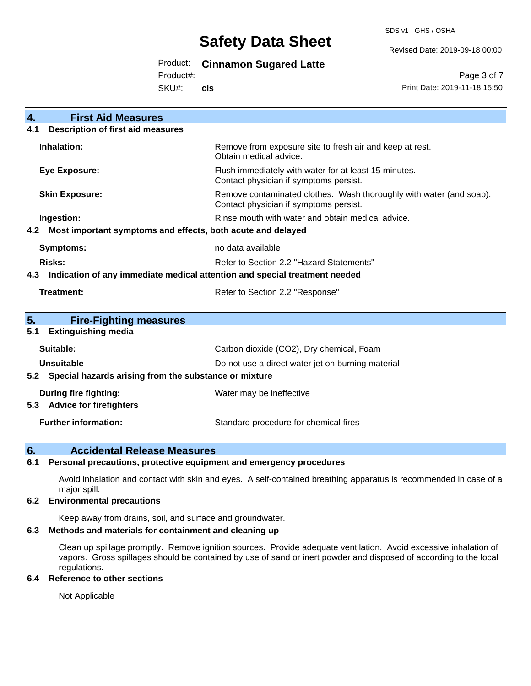SDS v1 GHS / OSHA

Revised Date: 2019-09-18 00:00

### Product: **Cinnamon Sugared Latte**

Product#:

SKU#: **cis**

Page 3 of 7 Print Date: 2019-11-18 15:50

| <b>First Aid Measures</b><br>4.                                                   |                                                                                                               |  |
|-----------------------------------------------------------------------------------|---------------------------------------------------------------------------------------------------------------|--|
| <b>Description of first aid measures</b><br>4.1                                   |                                                                                                               |  |
| Inhalation:                                                                       | Remove from exposure site to fresh air and keep at rest.<br>Obtain medical advice.                            |  |
| <b>Eye Exposure:</b>                                                              | Flush immediately with water for at least 15 minutes.<br>Contact physician if symptoms persist.               |  |
| <b>Skin Exposure:</b>                                                             | Remove contaminated clothes. Wash thoroughly with water (and soap).<br>Contact physician if symptoms persist. |  |
| Ingestion:                                                                        | Rinse mouth with water and obtain medical advice.                                                             |  |
| Most important symptoms and effects, both acute and delayed<br>4.2                |                                                                                                               |  |
| <b>Symptoms:</b>                                                                  | no data available                                                                                             |  |
| <b>Risks:</b>                                                                     | Refer to Section 2.2 "Hazard Statements"                                                                      |  |
| Indication of any immediate medical attention and special treatment needed<br>4.3 |                                                                                                               |  |
| Treatment:                                                                        | Refer to Section 2.2 "Response"                                                                               |  |
|                                                                                   |                                                                                                               |  |
| 5.<br><b>Fire-Fighting measures</b>                                               |                                                                                                               |  |
| <b>Extinguishing media</b><br>5.1                                                 |                                                                                                               |  |
| Suitable:                                                                         | Carbon dioxide (CO2), Dry chemical, Foam                                                                      |  |
| <b>Unsuitable</b>                                                                 | Do not use a direct water jet on burning material                                                             |  |
| Special hazards arising from the substance or mixture<br>5.2                      |                                                                                                               |  |
| <b>During fire fighting:</b>                                                      | Water may be ineffective                                                                                      |  |
| <b>Advice for firefighters</b><br>5.3                                             |                                                                                                               |  |
| <b>Further information:</b>                                                       | Standard procedure for chemical fires                                                                         |  |

## **6. Accidental Release Measures**

#### **6.1 Personal precautions, protective equipment and emergency procedures**

Avoid inhalation and contact with skin and eyes. A self-contained breathing apparatus is recommended in case of a major spill.

#### **6.2 Environmental precautions**

Keep away from drains, soil, and surface and groundwater.

#### **6.3 Methods and materials for containment and cleaning up**

Clean up spillage promptly. Remove ignition sources. Provide adequate ventilation. Avoid excessive inhalation of vapors. Gross spillages should be contained by use of sand or inert powder and disposed of according to the local regulations.

#### **6.4 Reference to other sections**

Not Applicable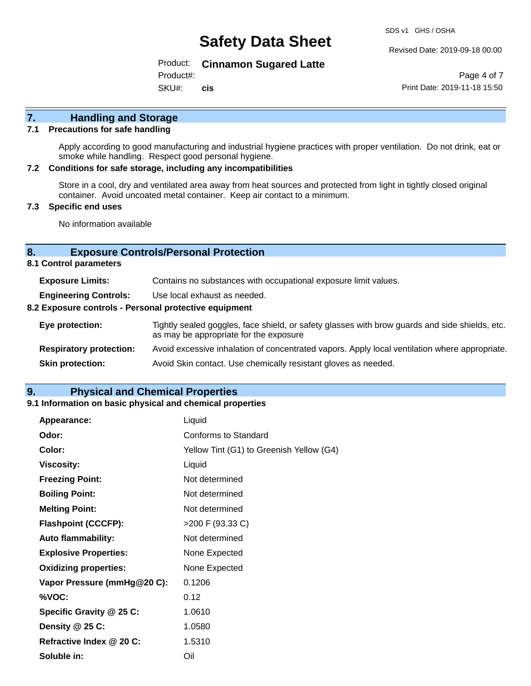SDS v1 GHS / OSHA

Revised Date: 2019-09-18 00:00

Product: **Cinnamon Sugared Latte**

Product#:

SKU#: **cis**

Page 4 of 7 Print Date: 2019-11-18 15:50

# **7. Handling and Storage**

#### **7.1 Precautions for safe handling**

Apply according to good manufacturing and industrial hygiene practices with proper ventilation. Do not drink, eat or smoke while handling. Respect good personal hygiene.

#### **7.2 Conditions for safe storage, including any incompatibilities**

Store in a cool, dry and ventilated area away from heat sources and protected from light in tightly closed original container. Avoid uncoated metal container. Keep air contact to a minimum.

#### **7.3 Specific end uses**

No information available

#### **8. Exposure Controls/Personal Protection**

**8.1 Control parameters**

| <b>Exposure Limits:</b>                                                                                                         | Contains no substances with occupational exposure limit values.                                                                          |  |
|---------------------------------------------------------------------------------------------------------------------------------|------------------------------------------------------------------------------------------------------------------------------------------|--|
| <b>Engineering Controls:</b>                                                                                                    | Use local exhaust as needed.                                                                                                             |  |
| 8.2 Exposure controls - Personal protective equipment                                                                           |                                                                                                                                          |  |
| Eye protection:                                                                                                                 | Tightly sealed goggles, face shield, or safety glasses with brow guards and side shields, etc.<br>as may be appropriate for the exposure |  |
| Avoid excessive inhalation of concentrated vapors. Apply local ventilation where appropriate.<br><b>Respiratory protection:</b> |                                                                                                                                          |  |
| Avoid Skin contact. Use chemically resistant gloves as needed.<br><b>Skin protection:</b>                                       |                                                                                                                                          |  |

### **9. Physical and Chemical Properties**

#### **9.1 Information on basic physical and chemical properties**

| Appearance:                  | Liquid                                   |
|------------------------------|------------------------------------------|
| Odor:                        | Conforms to Standard                     |
| Color:                       | Yellow Tint (G1) to Greenish Yellow (G4) |
| <b>Viscosity:</b>            | Liquid                                   |
| <b>Freezing Point:</b>       | Not determined                           |
| <b>Boiling Point:</b>        | Not determined                           |
| <b>Melting Point:</b>        | Not determined                           |
| <b>Flashpoint (CCCFP):</b>   | >200 F (93.33 C)                         |
| Auto flammability:           | Not determined                           |
| <b>Explosive Properties:</b> | None Expected                            |
| <b>Oxidizing properties:</b> | None Expected                            |
| Vapor Pressure (mmHg@20 C):  | 0.1206                                   |
| %VOC:                        | 0.12                                     |
| Specific Gravity @ 25 C:     | 1.0610                                   |
| Density @ 25 C:              | 1.0580                                   |
| Refractive Index @ 20 C:     | 1.5310                                   |
| Soluble in:                  | Oil                                      |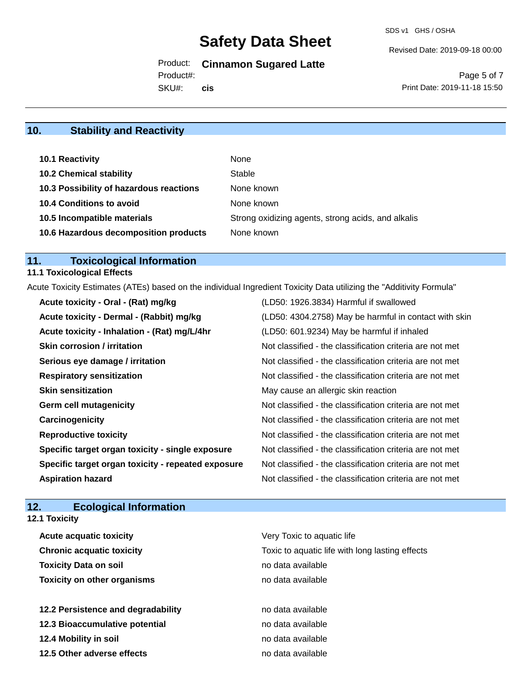SDS v1 GHS / OSHA

Revised Date: 2019-09-18 00:00

Product: **Cinnamon Sugared Latte**

Product#:

SKU#: **cis**

Page 5 of 7 Print Date: 2019-11-18 15:50

# **10. Stability and Reactivity**

| 10.1 Reactivity                         | None                                               |
|-----------------------------------------|----------------------------------------------------|
| <b>10.2 Chemical stability</b>          | Stable                                             |
| 10.3 Possibility of hazardous reactions | None known                                         |
| <b>10.4 Conditions to avoid</b>         | None known                                         |
| 10.5 Incompatible materials             | Strong oxidizing agents, strong acids, and alkalis |
| 10.6 Hazardous decomposition products   | None known                                         |

# **11. Toxicological Information**

## **11.1 Toxicological Effects**

Acute Toxicity Estimates (ATEs) based on the individual Ingredient Toxicity Data utilizing the "Additivity Formula"

| Acute toxicity - Oral - (Rat) mg/kg                | (LD50: 1926.3834) Harmful if swallowed                   |
|----------------------------------------------------|----------------------------------------------------------|
| Acute toxicity - Dermal - (Rabbit) mg/kg           | (LD50: 4304.2758) May be harmful in contact with skin    |
| Acute toxicity - Inhalation - (Rat) mg/L/4hr       | (LD50: 601.9234) May be harmful if inhaled               |
| <b>Skin corrosion / irritation</b>                 | Not classified - the classification criteria are not met |
| Serious eye damage / irritation                    | Not classified - the classification criteria are not met |
| <b>Respiratory sensitization</b>                   | Not classified - the classification criteria are not met |
| <b>Skin sensitization</b>                          | May cause an allergic skin reaction                      |
| <b>Germ cell mutagenicity</b>                      | Not classified - the classification criteria are not met |
| Carcinogenicity                                    | Not classified - the classification criteria are not met |
| <b>Reproductive toxicity</b>                       | Not classified - the classification criteria are not met |
| Specific target organ toxicity - single exposure   | Not classified - the classification criteria are not met |
| Specific target organ toxicity - repeated exposure | Not classified - the classification criteria are not met |
| <b>Aspiration hazard</b>                           | Not classified - the classification criteria are not met |

# **12. Ecological Information**

| <b>12.1 Toxicity</b>               |                                                                                                    |  |  |
|------------------------------------|----------------------------------------------------------------------------------------------------|--|--|
| Acute acquatic toxicity            | Very Toxic to aquatic life<br>Toxic to aquatic life with long lasting effects<br>no data available |  |  |
| <b>Chronic acquatic toxicity</b>   |                                                                                                    |  |  |
| <b>Toxicity Data on soil</b>       |                                                                                                    |  |  |
| <b>Toxicity on other organisms</b> | no data available                                                                                  |  |  |
| 12.2 Persistence and degradability | no data available                                                                                  |  |  |
| 12.3 Bioaccumulative potential     | no data available                                                                                  |  |  |
| 12.4 Mobility in soil              | no data available                                                                                  |  |  |
| 12.5 Other adverse effects         | no data available                                                                                  |  |  |
|                                    |                                                                                                    |  |  |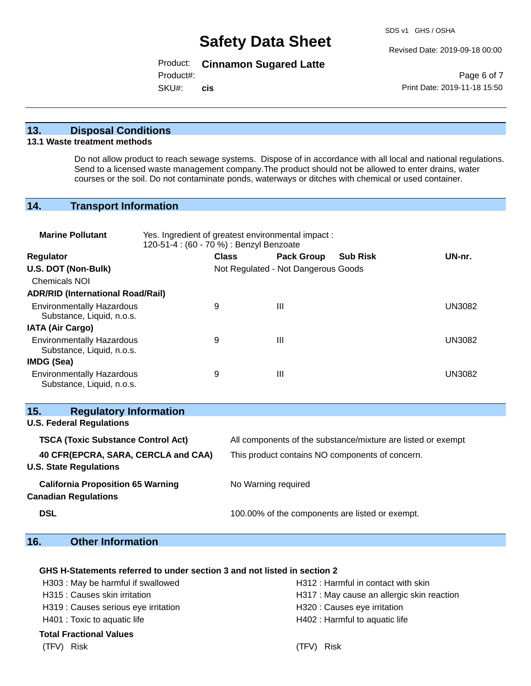Revised Date: 2019-09-18 00:00

### Product: **Cinnamon Sugared Latte**

Product#:

SKU#: **cis**

Page 6 of 7 Print Date: 2019-11-18 15:50

### **13. Disposal Conditions**

#### **13.1 Waste treatment methods**

Do not allow product to reach sewage systems. Dispose of in accordance with all local and national regulations. Send to a licensed waste management company.The product should not be allowed to enter drains, water courses or the soil. Do not contaminate ponds, waterways or ditches with chemical or used container.

### **14. Transport Information**

| <b>Marine Pollutant</b><br>Yes. Ingredient of greatest environmental impact:<br>120-51-4 : (60 - 70 %) : Benzyl Benzoate |  |                                     |                                                 |                                                              |               |  |
|--------------------------------------------------------------------------------------------------------------------------|--|-------------------------------------|-------------------------------------------------|--------------------------------------------------------------|---------------|--|
| <b>Regulator</b>                                                                                                         |  | <b>Class</b>                        | <b>Pack Group</b>                               | <b>Sub Risk</b>                                              | UN-nr.        |  |
| U.S. DOT (Non-Bulk)                                                                                                      |  | Not Regulated - Not Dangerous Goods |                                                 |                                                              |               |  |
| <b>Chemicals NOI</b>                                                                                                     |  |                                     |                                                 |                                                              |               |  |
| <b>ADR/RID (International Road/Rail)</b>                                                                                 |  |                                     |                                                 |                                                              |               |  |
| <b>Environmentally Hazardous</b><br>Substance, Liquid, n.o.s.                                                            |  | 9                                   | Ш                                               |                                                              | <b>UN3082</b> |  |
| <b>IATA (Air Cargo)</b>                                                                                                  |  |                                     |                                                 |                                                              |               |  |
| <b>Environmentally Hazardous</b><br>Substance, Liquid, n.o.s.                                                            |  | 9                                   | III                                             |                                                              | <b>UN3082</b> |  |
| IMDG (Sea)                                                                                                               |  |                                     |                                                 |                                                              |               |  |
| <b>Environmentally Hazardous</b><br>Substance, Liquid, n.o.s.                                                            |  | 9                                   | Ш                                               |                                                              | <b>UN3082</b> |  |
| <b>Regulatory Information</b><br>15.<br><b>U.S. Federal Regulations</b>                                                  |  |                                     |                                                 |                                                              |               |  |
| <b>TSCA (Toxic Substance Control Act)</b>                                                                                |  |                                     |                                                 | All components of the substance/mixture are listed or exempt |               |  |
| 40 CFR(EPCRA, SARA, CERCLA and CAA)<br><b>U.S. State Regulations</b>                                                     |  |                                     | This product contains NO components of concern. |                                                              |               |  |
| <b>California Proposition 65 Warning</b><br><b>Canadian Regulations</b>                                                  |  |                                     | No Warning required                             |                                                              |               |  |
| <b>DSL</b>                                                                                                               |  |                                     |                                                 | 100.00% of the components are listed or exempt.              |               |  |

# **16. Other Information**

#### **GHS H-Statements referred to under section 3 and not listed in section 2**

| H303: May be harmful if swallowed    | H312: Harmful in contact with skin         |  |  |
|--------------------------------------|--------------------------------------------|--|--|
| H315 : Causes skin irritation        | H317 : May cause an allergic skin reaction |  |  |
| H319 : Causes serious eye irritation | H320 : Causes eye irritation               |  |  |
| H401 : Toxic to aquatic life         | H402 : Harmful to aquatic life             |  |  |
| Total Fractional Values              |                                            |  |  |
| (TFV) Risk                           | (TFV) Risk                                 |  |  |